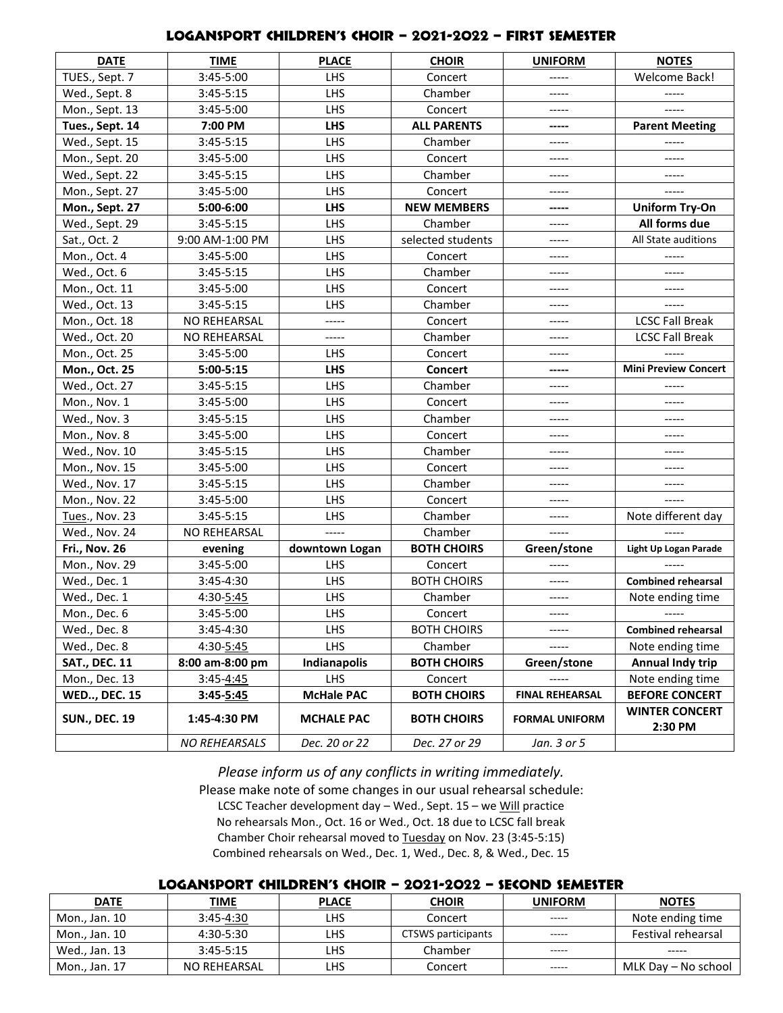## LOGANSPORT CHILDREN'S CHOIR – 2021-2022 – first semester

| <b>DATE</b>          | <b>TIME</b>          | <b>PLACE</b>      | <b>CHOIR</b>       | <b>UNIFORM</b>         | <b>NOTES</b>                     |
|----------------------|----------------------|-------------------|--------------------|------------------------|----------------------------------|
| TUES., Sept. 7       | 3:45-5:00            | LHS               | Concert            | -----                  | <b>Welcome Back!</b>             |
| Wed., Sept. 8        | 3:45-5:15            | LHS               | Chamber            | -----                  | -----                            |
| Mon., Sept. 13       | 3:45-5:00            | LHS               | Concert            | -----                  | -----                            |
| Tues., Sept. 14      | 7:00 PM              | <b>LHS</b>        | <b>ALL PARENTS</b> | -----                  | <b>Parent Meeting</b>            |
| Wed., Sept. 15       | $3:45-5:15$          | LHS               | Chamber            | -----                  | -----                            |
| Mon., Sept. 20       | 3:45-5:00            | LHS               | Concert            | -----                  | -----                            |
| Wed., Sept. 22       | $3:45 - 5:15$        | LHS               | Chamber            | $- - - - -$            |                                  |
| Mon., Sept. 27       | 3:45-5:00            | LHS               | Concert            | -----                  | -----                            |
| Mon., Sept. 27       | 5:00-6:00            | <b>LHS</b>        | <b>NEW MEMBERS</b> | -----                  | <b>Uniform Try-On</b>            |
| Wed., Sept. 29       | $3:45 - 5:15$        | LHS               | Chamber            | -----                  | All forms due                    |
| Sat., Oct. 2         | 9:00 AM-1:00 PM      | LHS               | selected students  | -----                  | All State auditions              |
| Mon., Oct. 4         | 3:45-5:00            | LHS               | Concert            | $- - - - -$            |                                  |
| Wed., Oct. 6         | 3:45-5:15            | LHS               | Chamber            | -----                  | -----                            |
| Mon., Oct. 11        | 3:45-5:00            | LHS               | Concert            | $- - - - -$            | -----                            |
| Wed., Oct. 13        | 3:45-5:15            | LHS               | Chamber            | -----                  | -----                            |
| Mon., Oct. 18        | NO REHEARSAL         | -----             | Concert            | $- - - - -$            | <b>LCSC Fall Break</b>           |
| Wed., Oct. 20        | NO REHEARSAL         | -----             | Chamber            | -----                  | <b>LCSC Fall Break</b>           |
| Mon., Oct. 25        | 3:45-5:00            | LHS               | Concert            | -----                  |                                  |
| Mon., Oct. 25        | $5:00 - 5:15$        | <b>LHS</b>        | Concert            | -----                  | <b>Mini Preview Concert</b>      |
| Wed., Oct. 27        | 3:45-5:15            | LHS               | Chamber            | $- - - - -$            |                                  |
| Mon., Nov. 1         | 3:45-5:00            | LHS               | Concert            | -----                  | -----                            |
| Wed., Nov. 3         | 3:45-5:15            | LHS               | Chamber            | -----                  | -----                            |
| Mon., Nov. 8         | 3:45-5:00            | LHS               | Concert            | $- - - - -$            | $- - - - -$                      |
| Wed., Nov. 10        | $3:45 - 5:15$        | LHS               | Chamber            | -----                  | ----                             |
| Mon., Nov. 15        | 3:45-5:00            | LHS               | Concert            | -----                  | -----                            |
| Wed., Nov. 17        | 3:45-5:15            | LHS               | Chamber            | -----                  | -----                            |
| Mon., Nov. 22        | 3:45-5:00            | LHS               | Concert            | -----                  | $--- -$                          |
| Tues., Nov. 23       | 3:45-5:15            | LHS               | Chamber            | -----                  | Note different day               |
| Wed., Nov. 24        | NO REHEARSAL         | -----             | Chamber            | -----                  |                                  |
| <b>Fri., Nov. 26</b> | evening              | downtown Logan    | <b>BOTH CHOIRS</b> | Green/stone            | Light Up Logan Parade            |
| Mon., Nov. 29        | 3:45-5:00            | LHS               | Concert            |                        |                                  |
| Wed., Dec. 1         | 3:45-4:30            | LHS               | <b>BOTH CHOIRS</b> | -----                  | <b>Combined rehearsal</b>        |
| Wed., Dec. 1         | 4:30-5:45            | LHS               | Chamber            | -----                  | Note ending time                 |
| Mon., Dec. 6         | 3:45-5:00            | LHS               | Concert            | -----                  | -----                            |
| Wed., Dec. 8         | 3:45-4:30            | <b>LHS</b>        | <b>BOTH CHOIRS</b> | -----                  | <b>Combined rehearsal</b>        |
| Wed., Dec. 8         | 4:30-5:45            | <b>LHS</b>        | Chamber            | -----                  | Note ending time                 |
| <b>SAT., DEC. 11</b> | 8:00 am-8:00 pm      | Indianapolis      | <b>BOTH CHOIRS</b> | Green/stone            | Annual Indy trip                 |
| Mon., Dec. 13        | $3:45 - 4:45$        | LHS.              | Concert            |                        | Note ending time                 |
| <b>WED, DEC. 15</b>  | 3:45-5:45            | <b>McHale PAC</b> | <b>BOTH CHOIRS</b> | <b>FINAL REHEARSAL</b> | <b>BEFORE CONCERT</b>            |
| <b>SUN., DEC. 19</b> | 1:45-4:30 PM         | <b>MCHALE PAC</b> | <b>BOTH CHOIRS</b> | <b>FORMAL UNIFORM</b>  | <b>WINTER CONCERT</b><br>2:30 PM |
|                      | <b>NO REHEARSALS</b> | Dec. 20 or 22     | Dec. 27 or 29      | Jan. 3 or 5            |                                  |

*Please inform us of any conflicts in writing immediately.*

Please make note of some changes in our usual rehearsal schedule: LCSC Teacher development day - Wed., Sept. 15 - we Will practice No rehearsals Mon., Oct. 16 or Wed., Oct. 18 due to LCSC fall break Chamber Choir rehearsal moved to Tuesday on Nov. 23 (3:45-5:15) Combined rehearsals on Wed., Dec. 1, Wed., Dec. 8, & Wed., Dec. 15

## Logansport children's choir – 2021-2022 – second semester

| <b>DATE</b>   | <u>TIME</u>   | <b>PLACE</b> | <b>CHOIR</b>       | UNIFORM     | <b>NOTES</b>        |
|---------------|---------------|--------------|--------------------|-------------|---------------------|
| Mon., Jan. 10 | $3:45 - 4:30$ | LHS          | Concert            | $- - - - -$ | Note ending time    |
| Mon., Jan. 10 | 4:30-5:30     | <b>LHS</b>   | CTSWS participants | -----       | Festival rehearsal  |
| Wed., Jan. 13 | $3:45-5:15$   | LHS          | Chamber            | -----       | -----               |
| Mon., Jan. 17 | NO REHEARSAL  | LHS          | Concert            | -----       | MLK Day - No school |